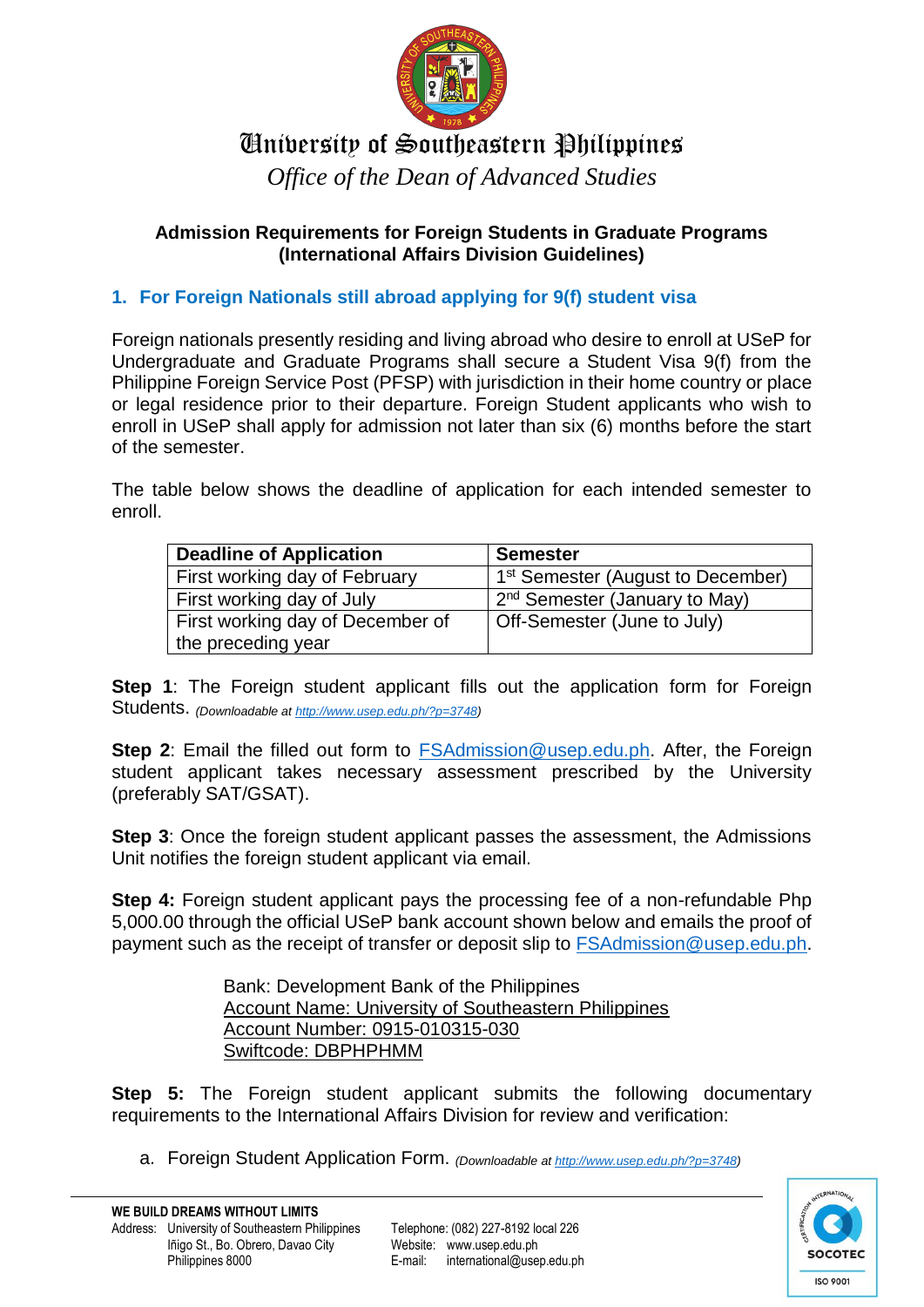

# University of Southeastern Philippines

*Office of the Dean of Advanced Studies*

### **Admission Requirements for Foreign Students in Graduate Programs (International Affairs Division Guidelines)**

# **1. For Foreign Nationals still abroad applying for 9(f) student visa**

Foreign nationals presently residing and living abroad who desire to enroll at USeP for Undergraduate and Graduate Programs shall secure a Student Visa 9(f) from the Philippine Foreign Service Post (PFSP) with jurisdiction in their home country or place or legal residence prior to their departure. Foreign Student applicants who wish to enroll in USeP shall apply for admission not later than six (6) months before the start of the semester.

The table below shows the deadline of application for each intended semester to enroll.

| <b>Deadline of Application</b>   | <b>Semester</b>                               |
|----------------------------------|-----------------------------------------------|
| First working day of February    | 1 <sup>st</sup> Semester (August to December) |
| First working day of July        | 2 <sup>nd</sup> Semester (January to May)     |
| First working day of December of | Off-Semester (June to July)                   |
| the preceding year               |                                               |

**Step 1**: The Foreign student applicant fills out the application form for Foreign Students. *(Downloadable a[t http://www.usep.edu.ph/?p=3748\)](http://www.usep.edu.ph/?p=3748)*

**Step 2:** Email the filled out form to [FSAdmission@usep.edu.ph.](mailto:FSAdmission@usep.edu.ph) After, the Foreign student applicant takes necessary assessment prescribed by the University (preferably SAT/GSAT).

**Step 3**: Once the foreign student applicant passes the assessment, the Admissions Unit notifies the foreign student applicant via email.

**Step 4:** Foreign student applicant pays the processing fee of a non-refundable Php 5,000.00 through the official USeP bank account shown below and emails the proof of payment such as the receipt of transfer or deposit slip to [FSAdmission@usep.edu.ph.](mailto:FSAdmission@usep.edu.ph)

> Bank: Development Bank of the Philippines Account Name: University of Southeastern Philippines Account Number: 0915-010315-030 Swiftcode: DBPHPHMM

**Step 5:** The Foreign student applicant submits the following documentary requirements to the International Affairs Division for review and verification:

a. Foreign Student Application Form. *(Downloadable at [http://www.usep.edu.ph/?p=3748\)](http://www.usep.edu.ph/?p=3748)*

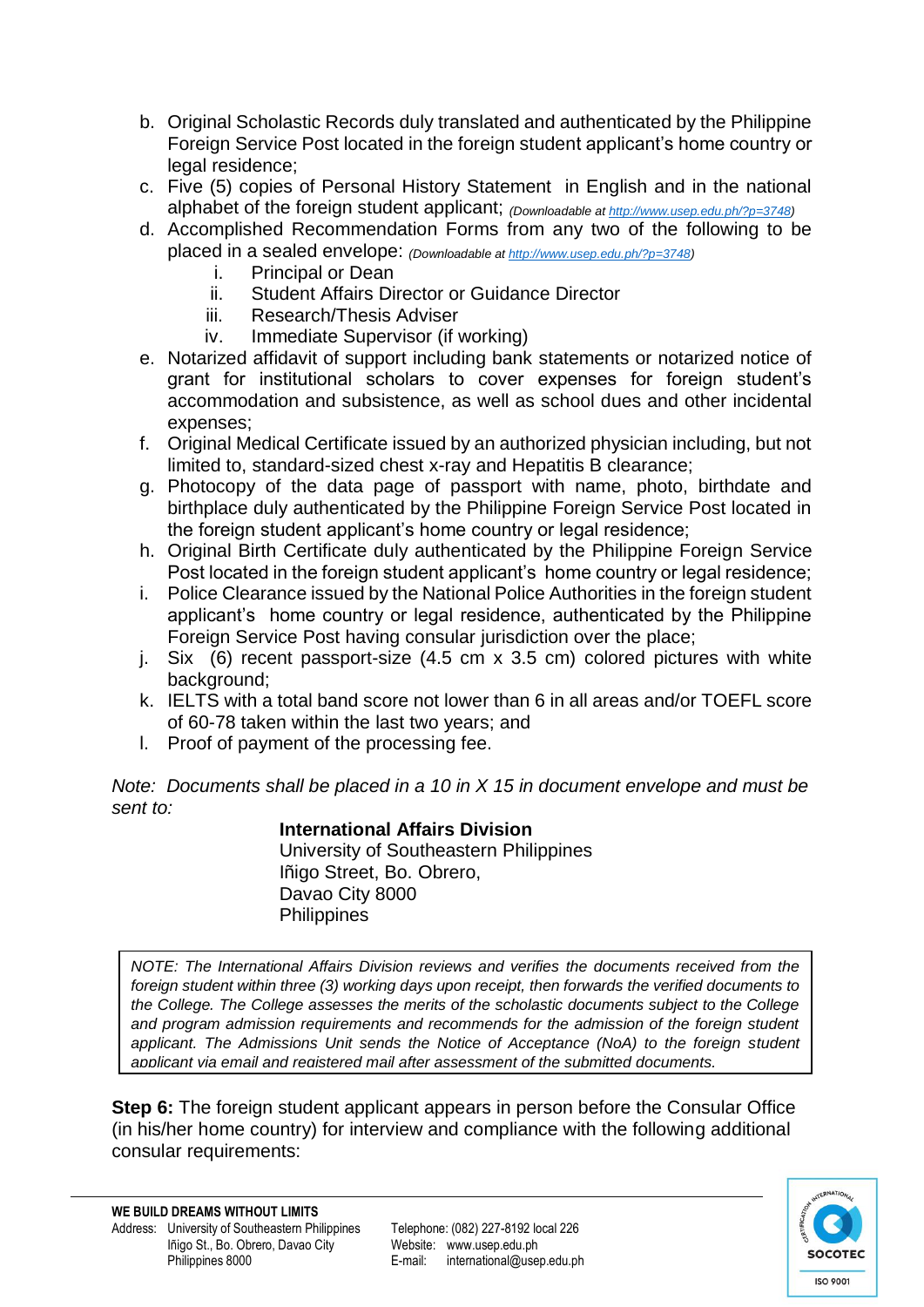- b. Original Scholastic Records duly translated and authenticated by the Philippine Foreign Service Post located in the foreign student applicant's home country or legal residence:
- c. Five (5) copies of Personal History Statement in English and in the national alphabet of the foreign student applicant; *(Downloadable a[t http://www.usep.edu.ph/?p=3748\)](http://www.usep.edu.ph/?p=3748)*
- d. Accomplished Recommendation Forms from any two of the following to be placed in a sealed envelope: *(Downloadable at [http://www.usep.edu.ph/?p=3748\)](http://www.usep.edu.ph/?p=3748)*
	- i. Principal or Dean
	- ii. Student Affairs Director or Guidance Director
	- iii. Research/Thesis Adviser
	- iv. Immediate Supervisor (if working)
- e. Notarized affidavit of support including bank statements or notarized notice of grant for institutional scholars to cover expenses for foreign student's accommodation and subsistence, as well as school dues and other incidental expenses;
- f. Original Medical Certificate issued by an authorized physician including, but not limited to, standard-sized chest x-ray and Hepatitis B clearance;
- g. Photocopy of the data page of passport with name, photo, birthdate and birthplace duly authenticated by the Philippine Foreign Service Post located in the foreign student applicant's home country or legal residence;
- h. Original Birth Certificate duly authenticated by the Philippine Foreign Service Post located in the foreign student applicant's home country or legal residence;
- i. Police Clearance issued by the National Police Authorities in the foreign student applicant's home country or legal residence, authenticated by the Philippine Foreign Service Post having consular jurisdiction over the place;
- j. Six (6) recent passport-size (4.5 cm x 3.5 cm) colored pictures with white background:
- k. IELTS with a total band score not lower than 6 in all areas and/or TOEFL score of 60-78 taken within the last two years; and
- l. Proof of payment of the processing fee.

*Note: Documents shall be placed in a 10 in X 15 in document envelope and must be sent to:* 

### **International Affairs Division**

University of Southeastern Philippines Iñigo Street, Bo. Obrero, Davao City 8000 **Philippines** 

*NOTE: The International Affairs Division reviews and verifies the documents received from the foreign student within three (3) working days upon receipt, then forwards the verified documents to the College. The College assesses the merits of the scholastic documents subject to the College and program admission requirements and recommends for the admission of the foreign student applicant. The Admissions Unit sends the Notice of Acceptance (NoA) to the foreign student applicant via email and registered mail after assessment of the submitted documents.*

**Step 6:** The foreign student applicant appears in person before the Consular Office (in his/her home country) for interview and compliance with the following additional consular requirements:

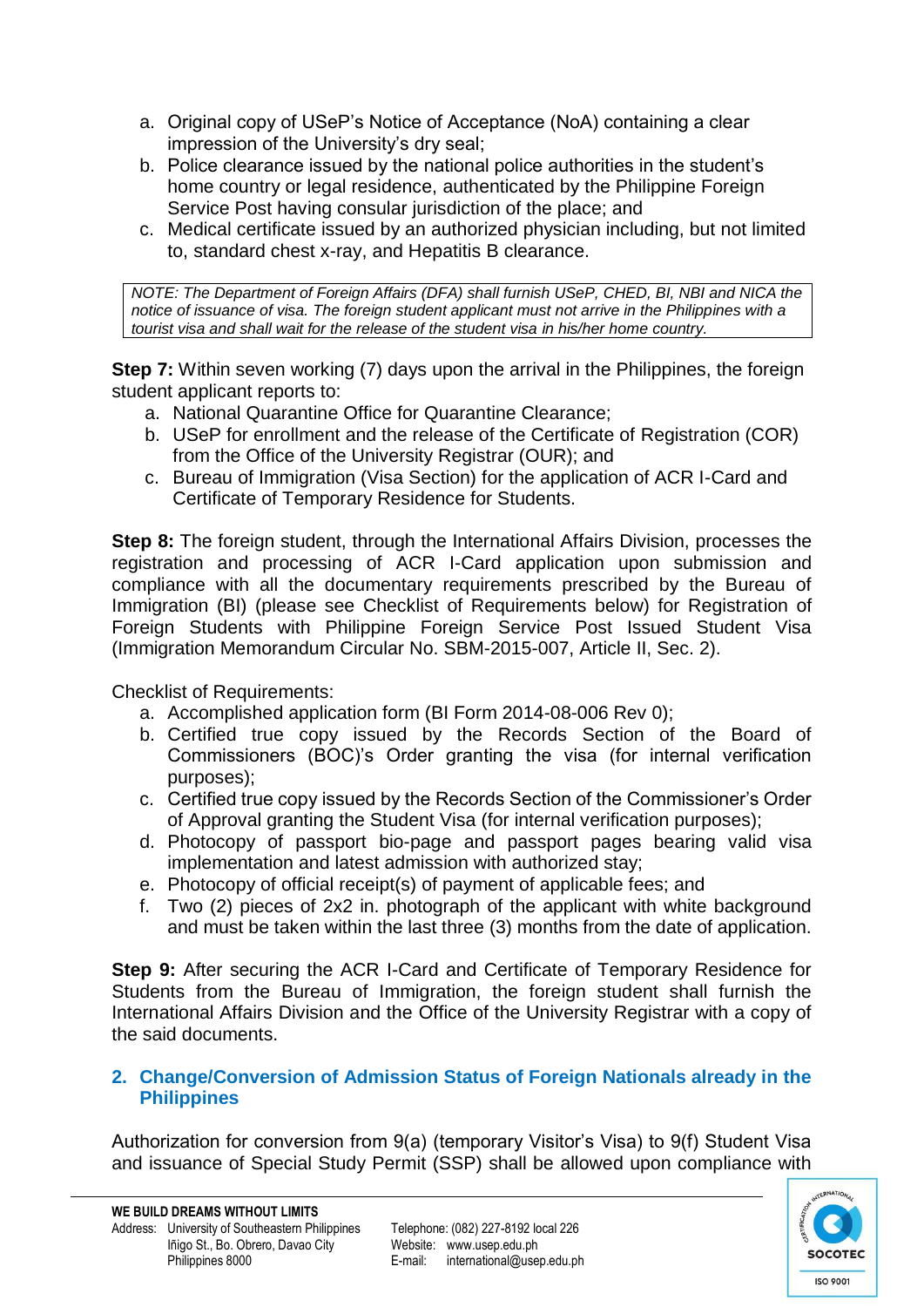- a. Original copy of USeP's Notice of Acceptance (NoA) containing a clear impression of the University's dry seal;
- b. Police clearance issued by the national police authorities in the student's home country or legal residence, authenticated by the Philippine Foreign Service Post having consular jurisdiction of the place; and
- c. Medical certificate issued by an authorized physician including, but not limited to, standard chest x-ray, and Hepatitis B clearance.

*NOTE: The Department of Foreign Affairs (DFA) shall furnish USeP, CHED, BI, NBI and NICA the notice of issuance of visa. The foreign student applicant must not arrive in the Philippines with a tourist visa and shall wait for the release of the student visa in his/her home country.*

**Step 7:** Within seven working (7) days upon the arrival in the Philippines, the foreign student applicant reports to:

- a. National Quarantine Office for Quarantine Clearance;
- b. USeP for enrollment and the release of the Certificate of Registration (COR) from the Office of the University Registrar (OUR); and
- c. Bureau of Immigration (Visa Section) for the application of ACR I-Card and Certificate of Temporary Residence for Students.

**Step 8:** The foreign student, through the International Affairs Division, processes the registration and processing of ACR I-Card application upon submission and compliance with all the documentary requirements prescribed by the Bureau of Immigration (BI) (please see Checklist of Requirements below) for Registration of Foreign Students with Philippine Foreign Service Post Issued Student Visa (Immigration Memorandum Circular No. SBM-2015-007, Article II, Sec. 2).

Checklist of Requirements:

- a. Accomplished application form (BI Form 2014-08-006 Rev 0);
- b. Certified true copy issued by the Records Section of the Board of Commissioners (BOC)'s Order granting the visa (for internal verification purposes);
- c. Certified true copy issued by the Records Section of the Commissioner's Order of Approval granting the Student Visa (for internal verification purposes);
- d. Photocopy of passport bio-page and passport pages bearing valid visa implementation and latest admission with authorized stay;
- e. Photocopy of official receipt(s) of payment of applicable fees; and
- f. Two (2) pieces of 2x2 in. photograph of the applicant with white background and must be taken within the last three (3) months from the date of application.

**Step 9:** After securing the ACR I-Card and Certificate of Temporary Residence for Students from the Bureau of Immigration, the foreign student shall furnish the International Affairs Division and the Office of the University Registrar with a copy of the said documents.

#### **2. Change/Conversion of Admission Status of Foreign Nationals already in the Philippines**

Authorization for conversion from 9(a) (temporary Visitor's Visa) to 9(f) Student Visa and issuance of Special Study Permit (SSP) shall be allowed upon compliance with

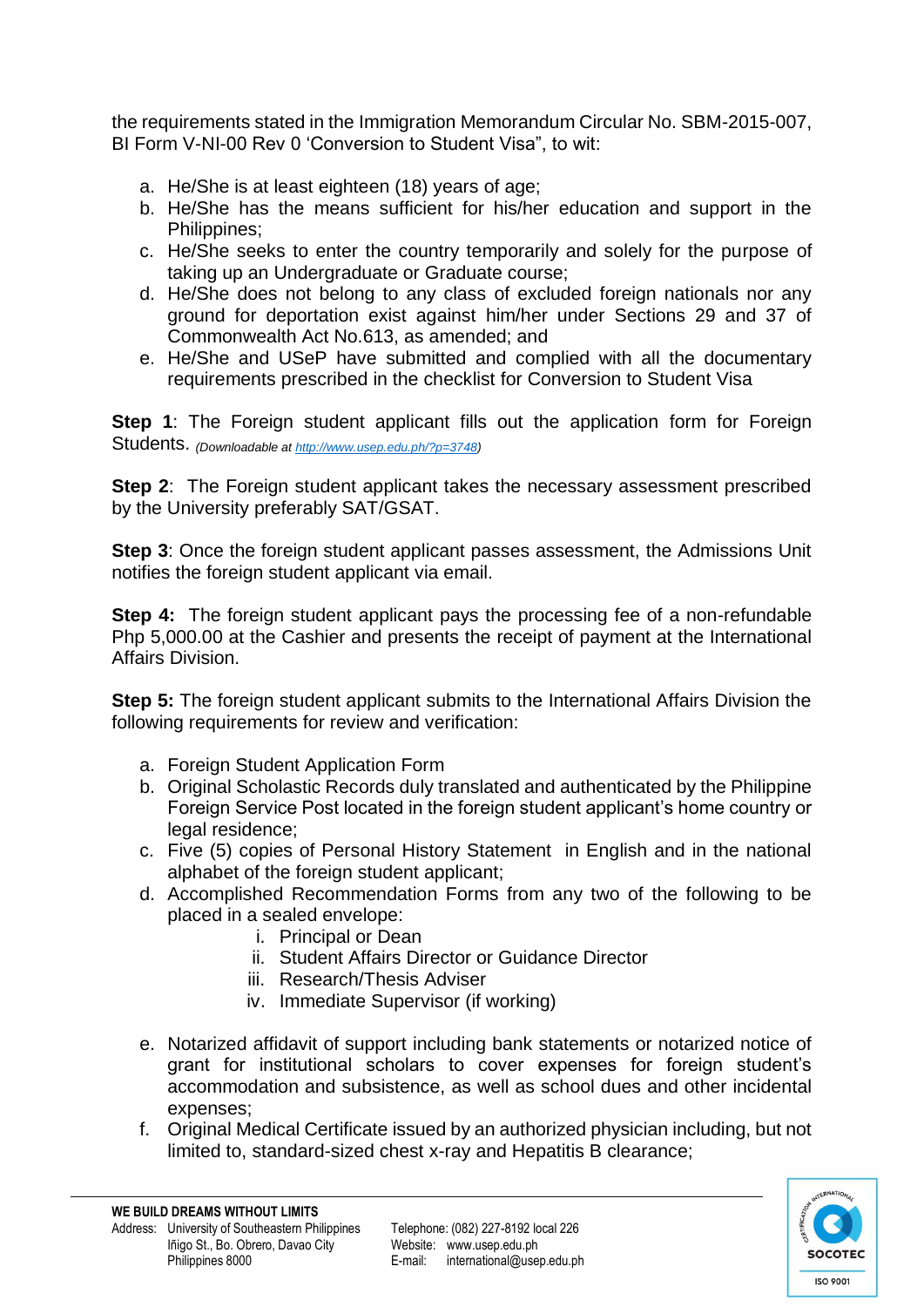the requirements stated in the Immigration Memorandum Circular No. SBM-2015-007, BI Form V-NI-00 Rev 0 'Conversion to Student Visa", to wit:

- a. He/She is at least eighteen (18) years of age;
- b. He/She has the means sufficient for his/her education and support in the Philippines;
- c. He/She seeks to enter the country temporarily and solely for the purpose of taking up an Undergraduate or Graduate course;
- d. He/She does not belong to any class of excluded foreign nationals nor any ground for deportation exist against him/her under Sections 29 and 37 of Commonwealth Act No.613, as amended; and
- e. He/She and USeP have submitted and complied with all the documentary requirements prescribed in the checklist for Conversion to Student Visa

**Step 1**: The Foreign student applicant fills out the application form for Foreign Students. *(Downloadable a[t http://www.usep.edu.ph/?p=3748\)](http://www.usep.edu.ph/?p=3748)*

**Step 2:** The Foreign student applicant takes the necessary assessment prescribed by the University preferably SAT/GSAT.

**Step 3**: Once the foreign student applicant passes assessment, the Admissions Unit notifies the foreign student applicant via email.

**Step 4:** The foreign student applicant pays the processing fee of a non-refundable Php 5,000.00 at the Cashier and presents the receipt of payment at the International Affairs Division.

**Step 5:** The foreign student applicant submits to the International Affairs Division the following requirements for review and verification:

- a. Foreign Student Application Form
- b. Original Scholastic Records duly translated and authenticated by the Philippine Foreign Service Post located in the foreign student applicant's home country or legal residence:
- c. Five (5) copies of Personal History Statement in English and in the national alphabet of the foreign student applicant;
- d. Accomplished Recommendation Forms from any two of the following to be placed in a sealed envelope:
	- i. Principal or Dean
	- ii. Student Affairs Director or Guidance Director
	- iii. Research/Thesis Adviser
	- iv. Immediate Supervisor (if working)
- e. Notarized affidavit of support including bank statements or notarized notice of grant for institutional scholars to cover expenses for foreign student's accommodation and subsistence, as well as school dues and other incidental expenses;
- f. Original Medical Certificate issued by an authorized physician including, but not limited to, standard-sized chest x-ray and Hepatitis B clearance;

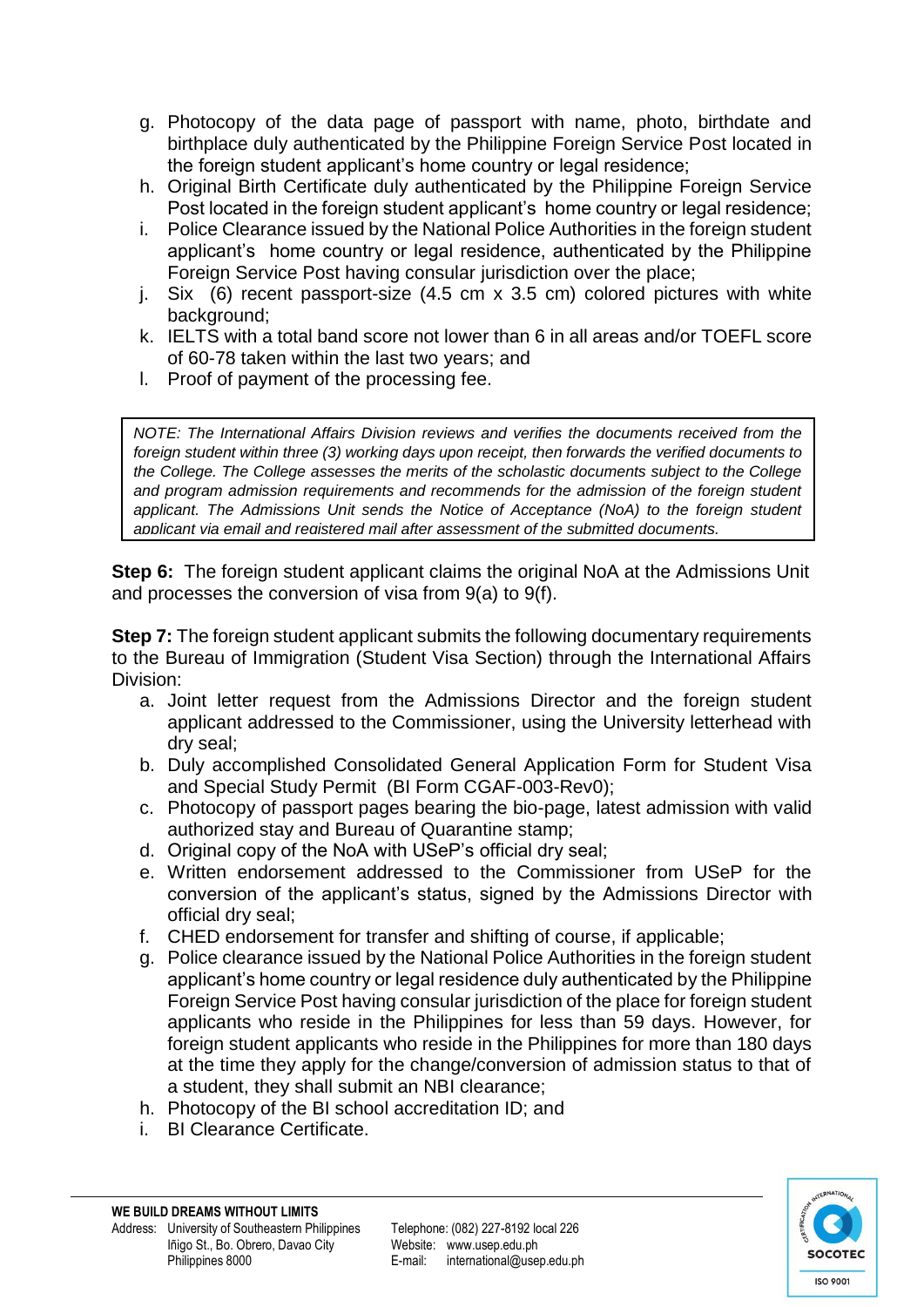- g. Photocopy of the data page of passport with name, photo, birthdate and birthplace duly authenticated by the Philippine Foreign Service Post located in the foreign student applicant's home country or legal residence;
- h. Original Birth Certificate duly authenticated by the Philippine Foreign Service Post located in the foreign student applicant's home country or legal residence;
- i. Police Clearance issued by the National Police Authorities in the foreign student applicant's home country or legal residence, authenticated by the Philippine Foreign Service Post having consular jurisdiction over the place;
- j. Six (6) recent passport-size (4.5 cm x 3.5 cm) colored pictures with white background:
- k. IELTS with a total band score not lower than 6 in all areas and/or TOEFL score of 60-78 taken within the last two years; and
- l. Proof of payment of the processing fee.

*NOTE: The International Affairs Division reviews and verifies the documents received from the foreign student within three (3) working days upon receipt, then forwards the verified documents to the College. The College assesses the merits of the scholastic documents subject to the College and program admission requirements and recommends for the admission of the foreign student applicant. The Admissions Unit sends the Notice of Acceptance (NoA) to the foreign student applicant via email and registered mail after assessment of the submitted documents.*

**Step 6:** The foreign student applicant claims the original NoA at the Admissions Unit and processes the conversion of visa from 9(a) to 9(f).

**Step 7:** The foreign student applicant submits the following documentary requirements to the Bureau of Immigration (Student Visa Section) through the International Affairs Division:

- a. Joint letter request from the Admissions Director and the foreign student applicant addressed to the Commissioner, using the University letterhead with dry seal;
- b. Duly accomplished Consolidated General Application Form for Student Visa and Special Study Permit (BI Form CGAF-003-Rev0);
- c. Photocopy of passport pages bearing the bio-page, latest admission with valid authorized stay and Bureau of Quarantine stamp;
- d. Original copy of the NoA with USeP's official dry seal;
- e. Written endorsement addressed to the Commissioner from USeP for the conversion of the applicant's status, signed by the Admissions Director with official dry seal;
- f. CHED endorsement for transfer and shifting of course, if applicable;
- g. Police clearance issued by the National Police Authorities in the foreign student applicant's home country or legal residence duly authenticated by the Philippine Foreign Service Post having consular jurisdiction of the place for foreign student applicants who reside in the Philippines for less than 59 days. However, for foreign student applicants who reside in the Philippines for more than 180 days at the time they apply for the change/conversion of admission status to that of a student, they shall submit an NBI clearance;
- h. Photocopy of the BI school accreditation ID; and
- i. BI Clearance Certificate.

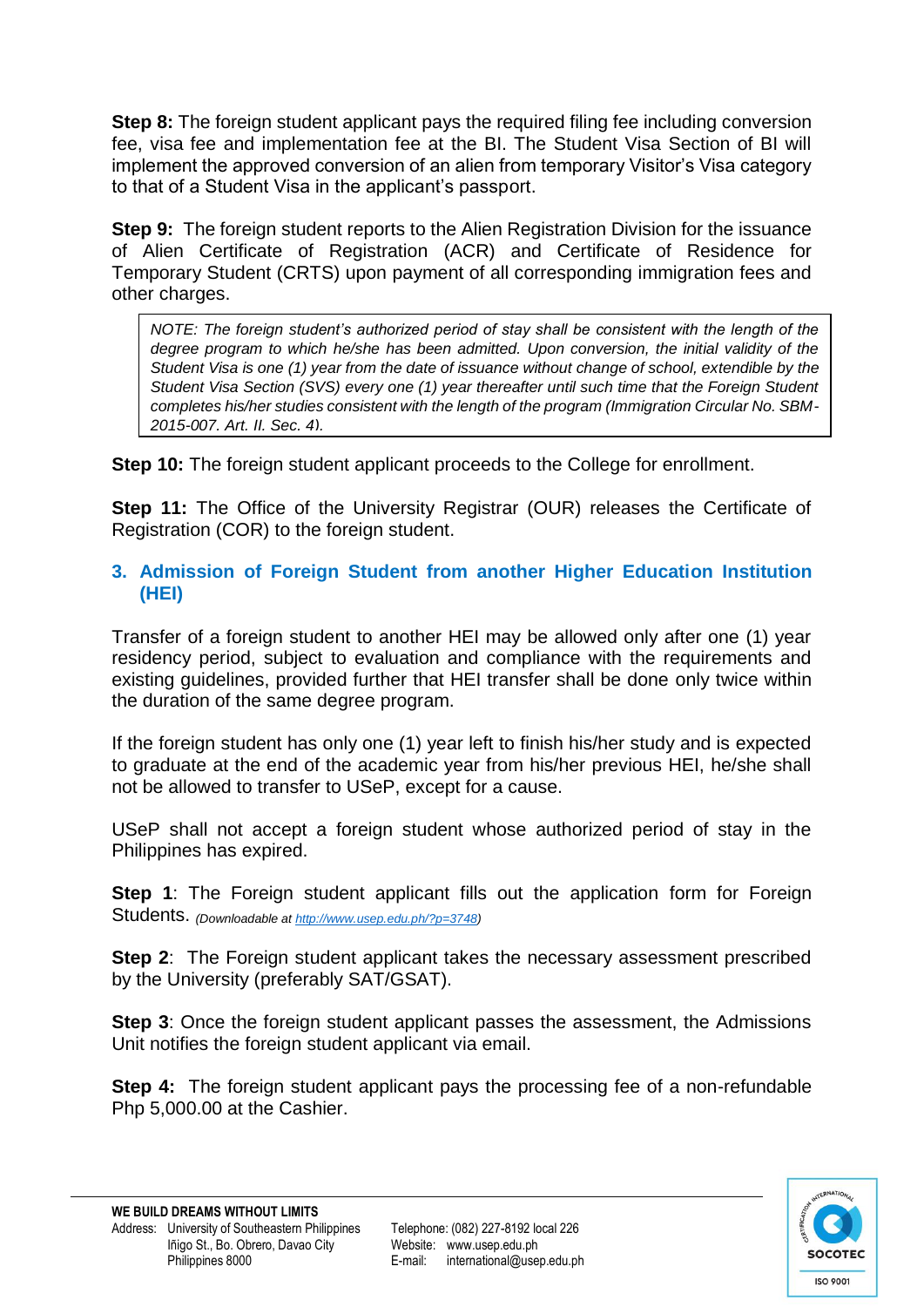**Step 8:** The foreign student applicant pays the required filing fee including conversion fee, visa fee and implementation fee at the BI. The Student Visa Section of BI will implement the approved conversion of an alien from temporary Visitor's Visa category to that of a Student Visa in the applicant's passport.

**Step 9:** The foreign student reports to the Alien Registration Division for the issuance of Alien Certificate of Registration (ACR) and Certificate of Residence for Temporary Student (CRTS) upon payment of all corresponding immigration fees and other charges.

*NOTE: The foreign student's authorized period of stay shall be consistent with the length of the*  degree program to which he/she has been admitted. Upon conversion, the initial validity of the *Student Visa is one (1) year from the date of issuance without change of school, extendible by the Student Visa Section (SVS) every one (1) year thereafter until such time that the Foreign Student completes his/her studies consistent with the length of the program (Immigration Circular No. SBM-2015-007, Art. II, Sec. 4).* 

**Step 10:** The foreign student applicant proceeds to the College for enrollment.

**Step 11:** The Office of the University Registrar (OUR) releases the Certificate of Registration (COR) to the foreign student.

# **3. Admission of Foreign Student from another Higher Education Institution (HEI)**

Transfer of a foreign student to another HEI may be allowed only after one (1) year residency period, subject to evaluation and compliance with the requirements and existing guidelines, provided further that HEI transfer shall be done only twice within the duration of the same degree program.

If the foreign student has only one (1) year left to finish his/her study and is expected to graduate at the end of the academic year from his/her previous HEI, he/she shall not be allowed to transfer to USeP, except for a cause.

USeP shall not accept a foreign student whose authorized period of stay in the Philippines has expired.

**Step 1**: The Foreign student applicant fills out the application form for Foreign Students. *(Downloadable a[t http://www.usep.edu.ph/?p=3748\)](http://www.usep.edu.ph/?p=3748)*

**Step 2**: The Foreign student applicant takes the necessary assessment prescribed by the University (preferably SAT/GSAT).

**Step 3**: Once the foreign student applicant passes the assessment, the Admissions Unit notifies the foreign student applicant via email.

**Step 4:** The foreign student applicant pays the processing fee of a non-refundable Php 5,000.00 at the Cashier.

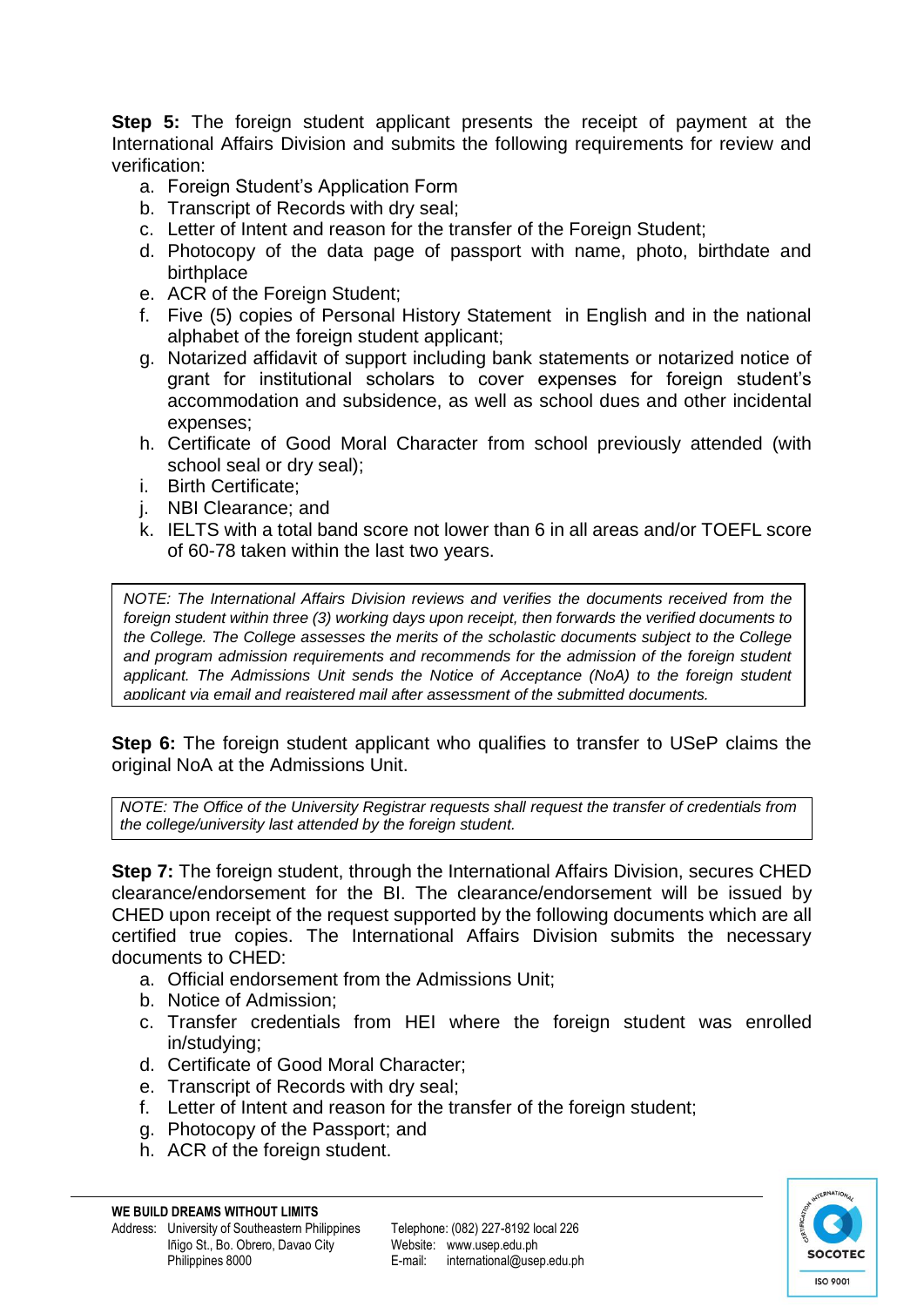**Step 5:** The foreign student applicant presents the receipt of payment at the International Affairs Division and submits the following requirements for review and verification:

- a. Foreign Student's Application Form
- b. Transcript of Records with dry seal;
- c. Letter of Intent and reason for the transfer of the Foreign Student;
- d. Photocopy of the data page of passport with name, photo, birthdate and birthplace
- e. ACR of the Foreign Student;
- f. Five (5) copies of Personal History Statement in English and in the national alphabet of the foreign student applicant;
- g. Notarized affidavit of support including bank statements or notarized notice of grant for institutional scholars to cover expenses for foreign student's accommodation and subsidence, as well as school dues and other incidental expenses;
- h. Certificate of Good Moral Character from school previously attended (with school seal or dry seal);
- i. Birth Certificate;
- j. NBI Clearance; and
- k. IELTS with a total band score not lower than 6 in all areas and/or TOEFL score of 60-78 taken within the last two years.

*NOTE: The International Affairs Division reviews and verifies the documents received from the foreign student within three (3) working days upon receipt, then forwards the verified documents to the College. The College assesses the merits of the scholastic documents subject to the College and program admission requirements and recommends for the admission of the foreign student applicant. The Admissions Unit sends the Notice of Acceptance (NoA) to the foreign student applicant via email and registered mail after assessment of the submitted documents.*

**Step 6:** The foreign student applicant who qualifies to transfer to USeP claims the original NoA at the Admissions Unit.

*NOTE: The Office of the University Registrar requests shall request the transfer of credentials from the college/university last attended by the foreign student.*

**Step 7:** The foreign student, through the International Affairs Division, secures CHED clearance/endorsement for the BI. The clearance/endorsement will be issued by CHED upon receipt of the request supported by the following documents which are all certified true copies. The International Affairs Division submits the necessary documents to CHED:

- a. Official endorsement from the Admissions Unit;
- b. Notice of Admission;
- c. Transfer credentials from HEI where the foreign student was enrolled in/studying;
- d. Certificate of Good Moral Character;
- e. Transcript of Records with dry seal;
- f. Letter of Intent and reason for the transfer of the foreign student;
- g. Photocopy of the Passport; and
- h. ACR of the foreign student.